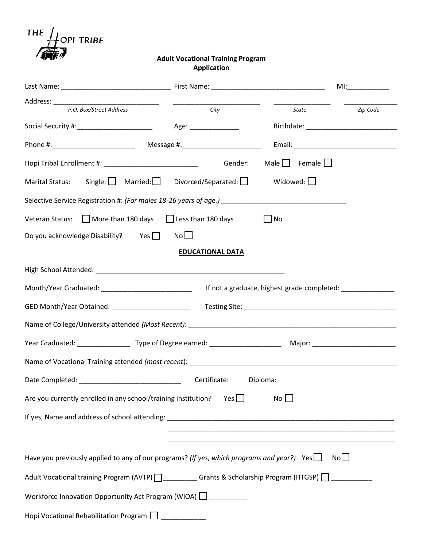THE. OPI TRIBE

 **Adult Vocational Training Program Application**

|                                                                                                            |      |                           | MI:_____________ |  |
|------------------------------------------------------------------------------------------------------------|------|---------------------------|------------------|--|
| P.O. Box/Street Address                                                                                    | City | State Zip Code            |                  |  |
| Social Security #: __________________________ Age: ______________                                          |      |                           |                  |  |
|                                                                                                            |      |                           |                  |  |
|                                                                                                            |      | Male $\Box$ Female $\Box$ |                  |  |
| Marital Status: Single: Married: Divorced/Separated: Widowed: $\Box$                                       |      |                           |                  |  |
| Selective Service Registration #: (For males 18-26 years of age.) __________________________________       |      |                           |                  |  |
| Veteran Status: $\Box$ More than 180 days $\Box$ Less than 180 days                                        |      | $\Box$ No                 |                  |  |
| Do you acknowledge Disability? Yes $\Box$ No $\Box$                                                        |      |                           |                  |  |
| <b>EDUCATIONAL DATA</b>                                                                                    |      |                           |                  |  |
|                                                                                                            |      |                           |                  |  |
|                                                                                                            |      |                           |                  |  |
|                                                                                                            |      |                           |                  |  |
|                                                                                                            |      |                           |                  |  |
|                                                                                                            |      |                           |                  |  |
|                                                                                                            |      |                           |                  |  |
|                                                                                                            |      |                           |                  |  |
| Yes $\Box$<br>Are you currently enrolled in any school/training institution?<br>No                         |      |                           |                  |  |
|                                                                                                            |      |                           |                  |  |
|                                                                                                            |      |                           |                  |  |
| Have you previously applied to any of our programs? (If yes, which programs and year?) Yes $\Box$          |      | No                        |                  |  |
| Adult Vocational training Program (AVTP) _____________ Grants & Scholarship Program (HTGSP) ______________ |      |                           |                  |  |
| Workforce Innovation Opportunity Act Program (WIOA) $\Box$                                                 |      |                           |                  |  |
| Hopi Vocational Rehabilitation Program $\Box$                                                              |      |                           |                  |  |